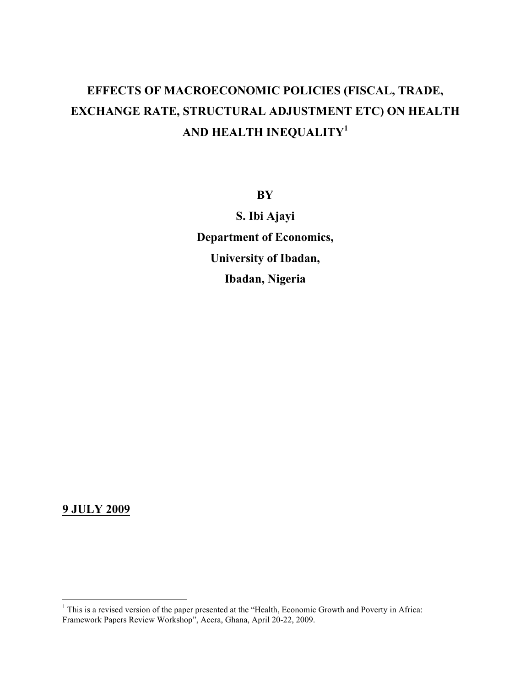# **EFFECTS OF MACROECONOMIC POLICIES (FISCAL, TRADE, EXCHANGE RATE, STRUCTURAL ADJUSTMENT ETC) ON HEALTH AND HEALTH INEQUALITY<sup>1</sup>**

**BY**

**S. Ibi Ajayi Department of Economics, University of Ibadan, Ibadan, Nigeria**

**9 JULY 2009**

 $\frac{1}{1}$ <sup>1</sup> This is a revised version of the paper presented at the "Health, Economic Growth and Poverty in Africa: Framework Papers Review Workshop", Accra, Ghana, April 20-22, 2009.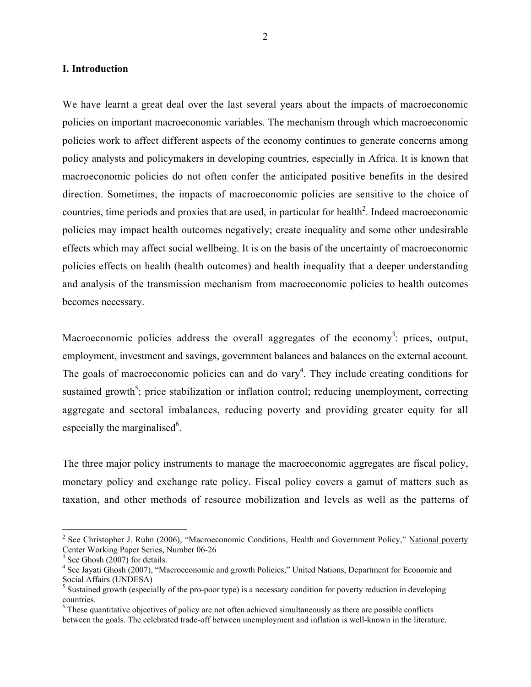#### **I. Introduction**

We have learnt a great deal over the last several years about the impacts of macroeconomic policies on important macroeconomic variables. The mechanism through which macroeconomic policies work to affect different aspects of the economy continues to generate concerns among policy analysts and policymakers in developing countries, especially in Africa. It is known that macroeconomic policies do not often confer the anticipated positive benefits in the desired direction. Sometimes, the impacts of macroeconomic policies are sensitive to the choice of countries, time periods and proxies that are used, in particular for health<sup>2</sup>. Indeed macroeconomic policies may impact health outcomes negatively; create inequality and some other undesirable effects which may affect social wellbeing. It is on the basis of the uncertainty of macroeconomic policies effects on health (health outcomes) and health inequality that a deeper understanding and analysis of the transmission mechanism from macroeconomic policies to health outcomes becomes necessary.

Macroeconomic policies address the overall aggregates of the economy<sup>3</sup>: prices, output, employment, investment and savings, government balances and balances on the external account. The goals of macroeconomic policies can and do vary<sup>4</sup>. They include creating conditions for sustained growth<sup>5</sup>; price stabilization or inflation control; reducing unemployment, correcting aggregate and sectoral imbalances, reducing poverty and providing greater equity for all especially the marginalised $6$ .

The three major policy instruments to manage the macroeconomic aggregates are fiscal policy, monetary policy and exchange rate policy. Fiscal policy covers a gamut of matters such as taxation, and other methods of resource mobilization and levels as well as the patterns of

 $2^{2}$  See Christopher J. Ruhn (2006), "Macroeconomic Conditions, Health and Government Policy," National poverty Center Working Paper Series, Number 06-26

See Ghosh (2007) for details.

<sup>&</sup>lt;sup>4</sup> See Jayati Ghosh (2007), "Macroeconomic and growth Policies," United Nations, Department for Economic and Social Affairs (UNDESA)

<sup>&</sup>lt;sup>5</sup> Sustained growth (especially of the pro-poor type) is a necessary condition for poverty reduction in developing countries.

 $6$  These quantitative objectives of policy are not often achieved simultaneously as there are possible conflicts between the goals. The celebrated trade-off between unemployment and inflation is well-known in the literature.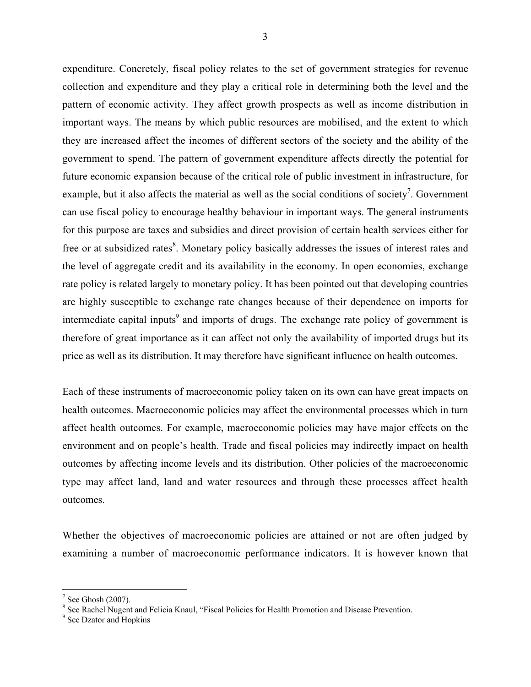expenditure. Concretely, fiscal policy relates to the set of government strategies for revenue collection and expenditure and they play a critical role in determining both the level and the pattern of economic activity. They affect growth prospects as well as income distribution in important ways. The means by which public resources are mobilised, and the extent to which they are increased affect the incomes of different sectors of the society and the ability of the government to spend. The pattern of government expenditure affects directly the potential for future economic expansion because of the critical role of public investment in infrastructure, for example, but it also affects the material as well as the social conditions of society<sup>7</sup>. Government can use fiscal policy to encourage healthy behaviour in important ways. The general instruments for this purpose are taxes and subsidies and direct provision of certain health services either for free or at subsidized rates<sup>8</sup>. Monetary policy basically addresses the issues of interest rates and the level of aggregate credit and its availability in the economy. In open economies, exchange rate policy is related largely to monetary policy. It has been pointed out that developing countries are highly susceptible to exchange rate changes because of their dependence on imports for intermediate capital inputs $\delta$  and imports of drugs. The exchange rate policy of government is therefore of great importance as it can affect not only the availability of imported drugs but its price as well as its distribution. It may therefore have significant influence on health outcomes.

Each of these instruments of macroeconomic policy taken on its own can have great impacts on health outcomes. Macroeconomic policies may affect the environmental processes which in turn affect health outcomes. For example, macroeconomic policies may have major effects on the environment and on people's health. Trade and fiscal policies may indirectly impact on health outcomes by affecting income levels and its distribution. Other policies of the macroeconomic type may affect land, land and water resources and through these processes affect health outcomes.

Whether the objectives of macroeconomic policies are attained or not are often judged by examining a number of macroeconomic performance indicators. It is however known that

<sup>-&</sup>lt;br>7

<sup>&#</sup>x27; See Ghosh (2007).<br><sup>8</sup> See Rachel Nugent and Felicia Knaul, "Fiscal Policies for Health Promotion and Disease Prevention.

<sup>&</sup>lt;sup>9</sup> See Dzator and Hopkins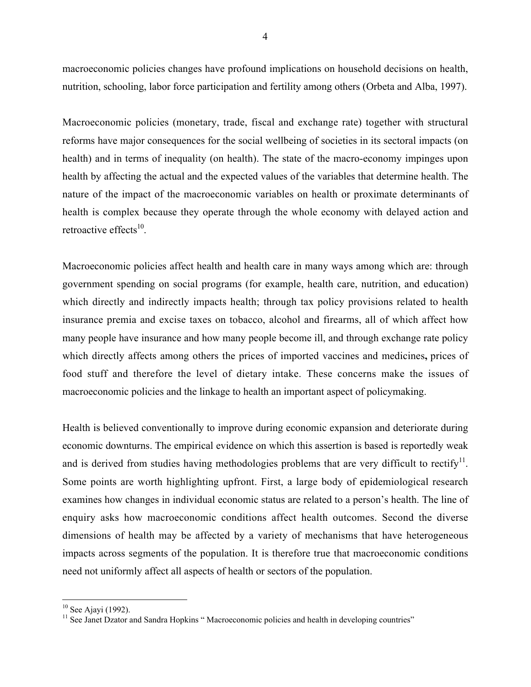macroeconomic policies changes have profound implications on household decisions on health, nutrition, schooling, labor force participation and fertility among others (Orbeta and Alba, 1997).

Macroeconomic policies (monetary, trade, fiscal and exchange rate) together with structural reforms have major consequences for the social wellbeing of societies in its sectoral impacts (on health) and in terms of inequality (on health). The state of the macro-economy impinges upon health by affecting the actual and the expected values of the variables that determine health. The nature of the impact of the macroeconomic variables on health or proximate determinants of health is complex because they operate through the whole economy with delayed action and retroactive effects<sup>10</sup>.

Macroeconomic policies affect health and health care in many ways among which are: through government spending on social programs (for example, health care, nutrition, and education) which directly and indirectly impacts health; through tax policy provisions related to health insurance premia and excise taxes on tobacco, alcohol and firearms, all of which affect how many people have insurance and how many people become ill, and through exchange rate policy which directly affects among others the prices of imported vaccines and medicines**,** prices of food stuff and therefore the level of dietary intake. These concerns make the issues of macroeconomic policies and the linkage to health an important aspect of policymaking.

Health is believed conventionally to improve during economic expansion and deteriorate during economic downturns. The empirical evidence on which this assertion is based is reportedly weak and is derived from studies having methodologies problems that are very difficult to rectify<sup>11</sup>. Some points are worth highlighting upfront. First, a large body of epidemiological research examines how changes in individual economic status are related to a person's health. The line of enquiry asks how macroeconomic conditions affect health outcomes. Second the diverse dimensions of health may be affected by a variety of mechanisms that have heterogeneous impacts across segments of the population. It is therefore true that macroeconomic conditions need not uniformly affect all aspects of health or sectors of the population.

<sup>&</sup>lt;sup>10</sup> See Ajayi (1992).

<sup>&</sup>lt;sup>11</sup> See Janet Dzator and Sandra Hopkins "Macroeconomic policies and health in developing countries"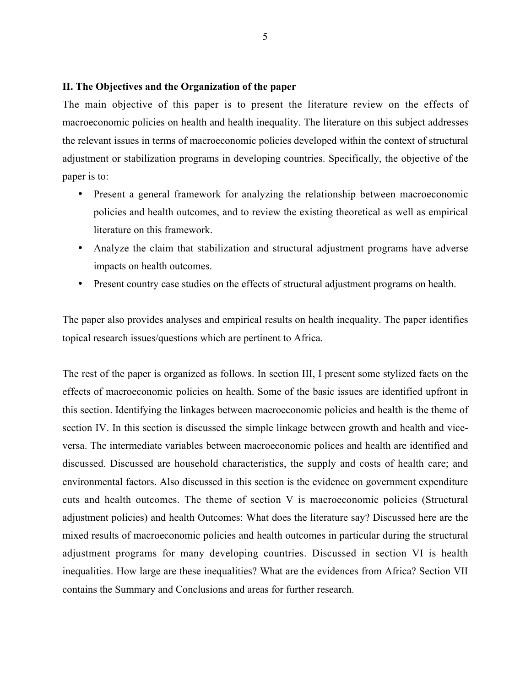#### **II. The Objectives and the Organization of the paper**

The main objective of this paper is to present the literature review on the effects of macroeconomic policies on health and health inequality. The literature on this subject addresses the relevant issues in terms of macroeconomic policies developed within the context of structural adjustment or stabilization programs in developing countries. Specifically, the objective of the paper is to:

- Present a general framework for analyzing the relationship between macroeconomic policies and health outcomes, and to review the existing theoretical as well as empirical literature on this framework.
- Analyze the claim that stabilization and structural adjustment programs have adverse impacts on health outcomes.
- Present country case studies on the effects of structural adjustment programs on health.

The paper also provides analyses and empirical results on health inequality. The paper identifies topical research issues/questions which are pertinent to Africa.

The rest of the paper is organized as follows. In section III, I present some stylized facts on the effects of macroeconomic policies on health. Some of the basic issues are identified upfront in this section. Identifying the linkages between macroeconomic policies and health is the theme of section IV. In this section is discussed the simple linkage between growth and health and viceversa. The intermediate variables between macroeconomic polices and health are identified and discussed. Discussed are household characteristics, the supply and costs of health care; and environmental factors. Also discussed in this section is the evidence on government expenditure cuts and health outcomes. The theme of section V is macroeconomic policies (Structural adjustment policies) and health Outcomes: What does the literature say? Discussed here are the mixed results of macroeconomic policies and health outcomes in particular during the structural adjustment programs for many developing countries. Discussed in section VI is health inequalities. How large are these inequalities? What are the evidences from Africa? Section VII contains the Summary and Conclusions and areas for further research.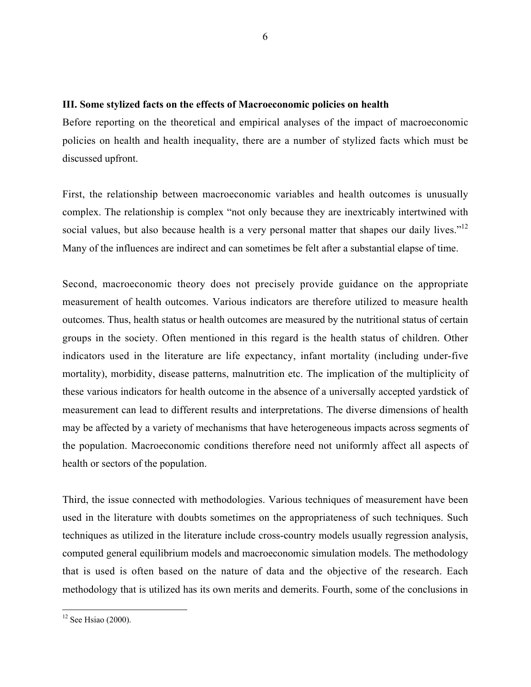#### **III. Some stylized facts on the effects of Macroeconomic policies on health**

Before reporting on the theoretical and empirical analyses of the impact of macroeconomic policies on health and health inequality, there are a number of stylized facts which must be discussed upfront.

First, the relationship between macroeconomic variables and health outcomes is unusually complex. The relationship is complex "not only because they are inextricably intertwined with social values, but also because health is a very personal matter that shapes our daily lives."<sup>12</sup> Many of the influences are indirect and can sometimes be felt after a substantial elapse of time.

Second, macroeconomic theory does not precisely provide guidance on the appropriate measurement of health outcomes. Various indicators are therefore utilized to measure health outcomes. Thus, health status or health outcomes are measured by the nutritional status of certain groups in the society. Often mentioned in this regard is the health status of children. Other indicators used in the literature are life expectancy, infant mortality (including under-five mortality), morbidity, disease patterns, malnutrition etc. The implication of the multiplicity of these various indicators for health outcome in the absence of a universally accepted yardstick of measurement can lead to different results and interpretations. The diverse dimensions of health may be affected by a variety of mechanisms that have heterogeneous impacts across segments of the population. Macroeconomic conditions therefore need not uniformly affect all aspects of health or sectors of the population.

Third, the issue connected with methodologies. Various techniques of measurement have been used in the literature with doubts sometimes on the appropriateness of such techniques. Such techniques as utilized in the literature include cross-country models usually regression analysis, computed general equilibrium models and macroeconomic simulation models. The methodology that is used is often based on the nature of data and the objective of the research. Each methodology that is utilized has its own merits and demerits. Fourth, some of the conclusions in

<sup>&</sup>lt;sup>12</sup> See Hsiao (2000).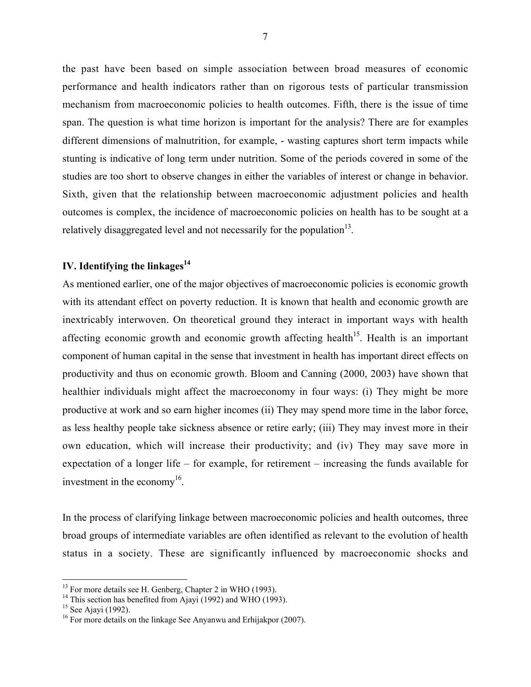the past have been based on simple association between broad measures of economic performance and health indicators rather than on rigorous tests of particular transmission mechanism from macroeconomic policies to health outcomes. Fifth, there is the issue of time span. The question is what time horizon is important for the analysis? There are for examples different dimensions of malnutrition, for example, - wasting captures short term impacts while stunting is indicative of long term under nutrition. Some of the periods covered in some of the studies are too short to observe changes in either the variables of interest or change in behavior. Sixth, given that the relationship between macroeconomic adjustment policies and health outcomes is complex, the incidence of macroeconomic policies on health has to be sought at a relatively disaggregated level and not necessarily for the population $13$ .

## **IV. Identifying the linkages**<sup>14</sup>

As mentioned earlier, one of the major objectives of macroeconomic policies is economic growth with its attendant effect on poverty reduction. It is known that health and economic growth are inextricably interwoven. On theoretical ground they interact in important ways with health affecting economic growth and economic growth affecting health<sup>15</sup>. Health is an important component of human capital in the sense that investment in health has important direct effects on productivity and thus on economic growth. Bloom and Canning (2000, 2003) have shown that healthier individuals might affect the macroeconomy in four ways: (i) They might be more productive at work and so earn higher incomes (ii) They may spend more time in the labor force, as less healthy people take sickness absence or retire early; (iii) They may invest more in their own education, which will increase their productivity; and (iv) They may save more in expectation of a longer life – for example, for retirement – increasing the funds available for investment in the economy<sup>16</sup>.

In the process of clarifying linkage between macroeconomic policies and health outcomes, three broad groups of intermediate variables are often identified as relevant to the evolution of health status in a society. These are significantly influenced by macroeconomic shocks and

<sup>&</sup>lt;sup>13</sup> For more details see H. Genberg, Chapter 2 in WHO (1993).<br><sup>14</sup> This section has benefited from Ajayi (1992) and WHO (1993).<br><sup>15</sup> See Ajayi (1992).

<sup>&</sup>lt;sup>16</sup> For more details on the linkage See Anyanwu and Erhijakpor (2007).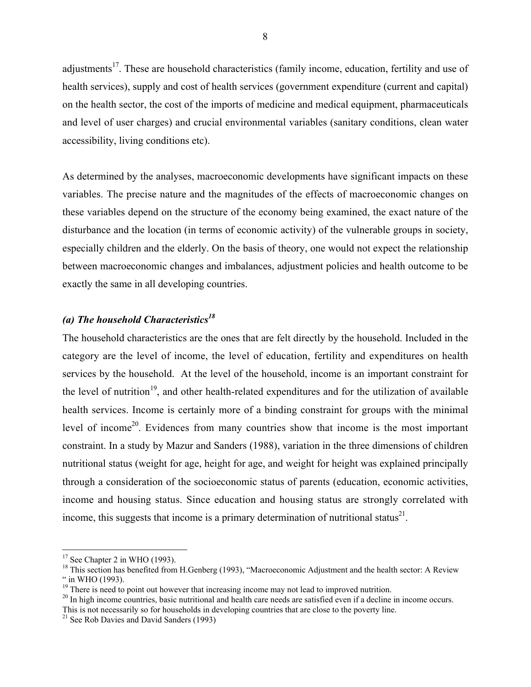adjustments<sup>17</sup>. These are household characteristics (family income, education, fertility and use of health services), supply and cost of health services (government expenditure (current and capital) on the health sector, the cost of the imports of medicine and medical equipment, pharmaceuticals and level of user charges) and crucial environmental variables (sanitary conditions, clean water accessibility, living conditions etc).

As determined by the analyses, macroeconomic developments have significant impacts on these variables. The precise nature and the magnitudes of the effects of macroeconomic changes on these variables depend on the structure of the economy being examined, the exact nature of the disturbance and the location (in terms of economic activity) of the vulnerable groups in society, especially children and the elderly. On the basis of theory, one would not expect the relationship between macroeconomic changes and imbalances, adjustment policies and health outcome to be exactly the same in all developing countries.

## *(a) The household Characteristics18*

The household characteristics are the ones that are felt directly by the household. Included in the category are the level of income, the level of education, fertility and expenditures on health services by the household. At the level of the household, income is an important constraint for the level of nutrition<sup>19</sup>, and other health-related expenditures and for the utilization of available health services. Income is certainly more of a binding constraint for groups with the minimal level of income<sup>20</sup>. Evidences from many countries show that income is the most important constraint. In a study by Mazur and Sanders (1988), variation in the three dimensions of children nutritional status (weight for age, height for age, and weight for height was explained principally through a consideration of the socioeconomic status of parents (education, economic activities, income and housing status. Since education and housing status are strongly correlated with income, this suggests that income is a primary determination of nutritional status $^{21}$ .

<sup>&</sup>lt;sup>17</sup>  $\frac{17}{18}$  See Chapter 2 in WHO (1993).

<sup>&</sup>lt;sup>18</sup> This section has benefited from H.Genberg (1993), "Macroeconomic Adjustment and the health sector: A Review " in WHO  $(1993)$ .

<sup>&</sup>lt;sup>19</sup> There is need to point out however that increasing income may not lead to improved nutrition.

<sup>&</sup>lt;sup>20</sup> In high income countries, basic nutritional and health care needs are satisfied even if a decline in income occurs. This is not necessarily so for households in developing countries that are close to the poverty line.

<sup>&</sup>lt;sup>21</sup> See Rob Davies and David Sanders (1993)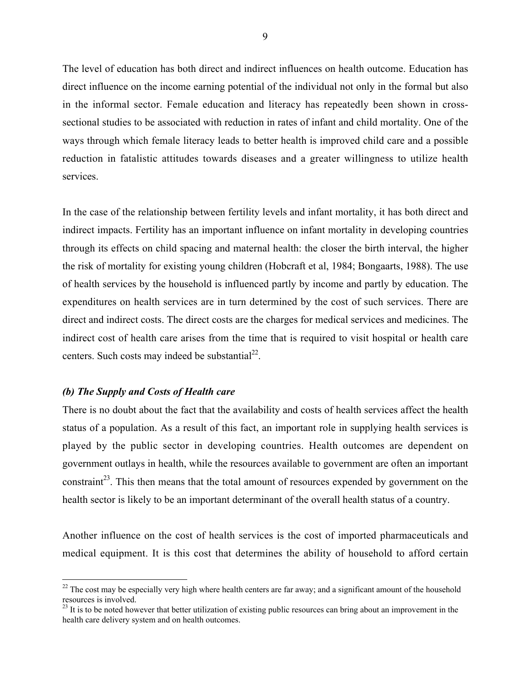The level of education has both direct and indirect influences on health outcome. Education has direct influence on the income earning potential of the individual not only in the formal but also in the informal sector. Female education and literacy has repeatedly been shown in crosssectional studies to be associated with reduction in rates of infant and child mortality. One of the ways through which female literacy leads to better health is improved child care and a possible reduction in fatalistic attitudes towards diseases and a greater willingness to utilize health services.

In the case of the relationship between fertility levels and infant mortality, it has both direct and indirect impacts. Fertility has an important influence on infant mortality in developing countries through its effects on child spacing and maternal health: the closer the birth interval, the higher the risk of mortality for existing young children (Hobcraft et al, 1984; Bongaarts, 1988). The use of health services by the household is influenced partly by income and partly by education. The expenditures on health services are in turn determined by the cost of such services. There are direct and indirect costs. The direct costs are the charges for medical services and medicines. The indirect cost of health care arises from the time that is required to visit hospital or health care centers. Such costs may indeed be substantial $^{22}$ .

## *(b) The Supply and Costs of Health care*

There is no doubt about the fact that the availability and costs of health services affect the health status of a population. As a result of this fact, an important role in supplying health services is played by the public sector in developing countries. Health outcomes are dependent on government outlays in health, while the resources available to government are often an important constraint<sup>23</sup>. This then means that the total amount of resources expended by government on the health sector is likely to be an important determinant of the overall health status of a country.

Another influence on the cost of health services is the cost of imported pharmaceuticals and medical equipment. It is this cost that determines the ability of household to afford certain

<sup>&</sup>lt;sup>22</sup> The cost may be especially very high where health centers are far away; and a significant amount of the household resources is involved.

 $2<sup>23</sup>$  It is to be noted however that better utilization of existing public resources can bring about an improvement in the health care delivery system and on health outcomes.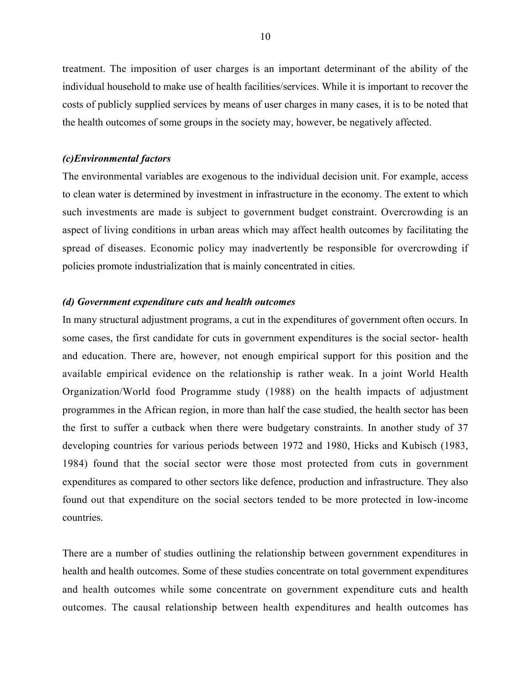treatment. The imposition of user charges is an important determinant of the ability of the individual household to make use of health facilities/services. While it is important to recover the costs of publicly supplied services by means of user charges in many cases, it is to be noted that the health outcomes of some groups in the society may, however, be negatively affected.

#### *(c)Environmental factors*

The environmental variables are exogenous to the individual decision unit. For example, access to clean water is determined by investment in infrastructure in the economy. The extent to which such investments are made is subject to government budget constraint. Overcrowding is an aspect of living conditions in urban areas which may affect health outcomes by facilitating the spread of diseases. Economic policy may inadvertently be responsible for overcrowding if policies promote industrialization that is mainly concentrated in cities.

#### *(d) Government expenditure cuts and health outcomes*

In many structural adjustment programs, a cut in the expenditures of government often occurs. In some cases, the first candidate for cuts in government expenditures is the social sector- health and education. There are, however, not enough empirical support for this position and the available empirical evidence on the relationship is rather weak. In a joint World Health Organization/World food Programme study (1988) on the health impacts of adjustment programmes in the African region, in more than half the case studied, the health sector has been the first to suffer a cutback when there were budgetary constraints. In another study of 37 developing countries for various periods between 1972 and 1980, Hicks and Kubisch (1983, 1984) found that the social sector were those most protected from cuts in government expenditures as compared to other sectors like defence, production and infrastructure. They also found out that expenditure on the social sectors tended to be more protected in low-income countries.

There are a number of studies outlining the relationship between government expenditures in health and health outcomes. Some of these studies concentrate on total government expenditures and health outcomes while some concentrate on government expenditure cuts and health outcomes. The causal relationship between health expenditures and health outcomes has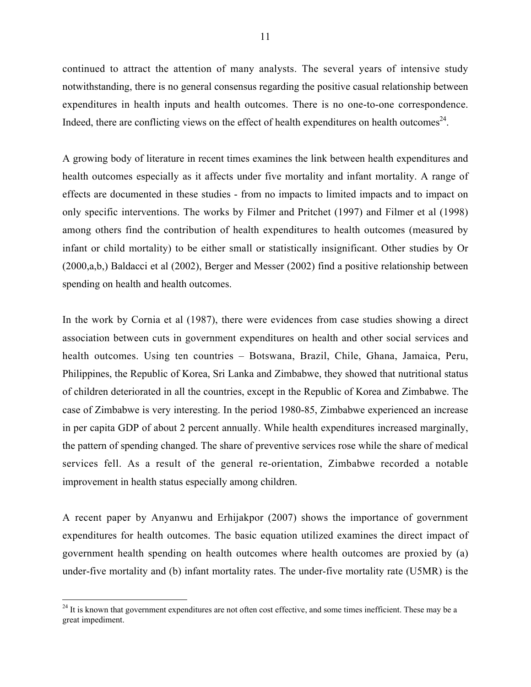continued to attract the attention of many analysts. The several years of intensive study notwithstanding, there is no general consensus regarding the positive casual relationship between expenditures in health inputs and health outcomes. There is no one-to-one correspondence. Indeed, there are conflicting views on the effect of health expenditures on health outcomes<sup>24</sup>.

A growing body of literature in recent times examines the link between health expenditures and health outcomes especially as it affects under five mortality and infant mortality. A range of effects are documented in these studies - from no impacts to limited impacts and to impact on only specific interventions. The works by Filmer and Pritchet (1997) and Filmer et al (1998) among others find the contribution of health expenditures to health outcomes (measured by infant or child mortality) to be either small or statistically insignificant. Other studies by Or (2000,a,b,) Baldacci et al (2002), Berger and Messer (2002) find a positive relationship between spending on health and health outcomes.

In the work by Cornia et al (1987), there were evidences from case studies showing a direct association between cuts in government expenditures on health and other social services and health outcomes. Using ten countries – Botswana, Brazil, Chile, Ghana, Jamaica, Peru, Philippines, the Republic of Korea, Sri Lanka and Zimbabwe, they showed that nutritional status of children deteriorated in all the countries, except in the Republic of Korea and Zimbabwe. The case of Zimbabwe is very interesting. In the period 1980-85, Zimbabwe experienced an increase in per capita GDP of about 2 percent annually. While health expenditures increased marginally, the pattern of spending changed. The share of preventive services rose while the share of medical services fell. As a result of the general re-orientation, Zimbabwe recorded a notable improvement in health status especially among children.

A recent paper by Anyanwu and Erhijakpor (2007) shows the importance of government expenditures for health outcomes. The basic equation utilized examines the direct impact of government health spending on health outcomes where health outcomes are proxied by (a) under-five mortality and (b) infant mortality rates. The under-five mortality rate (U5MR) is the

<sup>&</sup>lt;sup>24</sup> It is known that government expenditures are not often cost effective, and some times inefficient. These may be a great impediment.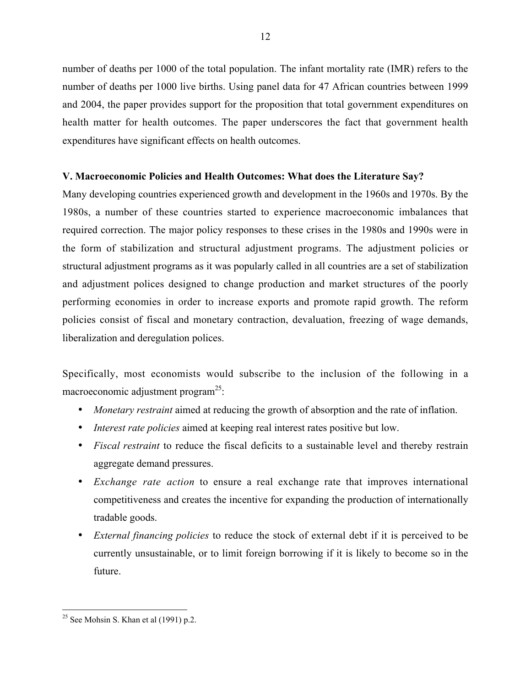number of deaths per 1000 of the total population. The infant mortality rate (IMR) refers to the number of deaths per 1000 live births. Using panel data for 47 African countries between 1999 and 2004, the paper provides support for the proposition that total government expenditures on health matter for health outcomes. The paper underscores the fact that government health expenditures have significant effects on health outcomes.

## **V. Macroeconomic Policies and Health Outcomes: What does the Literature Say?**

Many developing countries experienced growth and development in the 1960s and 1970s. By the 1980s, a number of these countries started to experience macroeconomic imbalances that required correction. The major policy responses to these crises in the 1980s and 1990s were in the form of stabilization and structural adjustment programs. The adjustment policies or structural adjustment programs as it was popularly called in all countries are a set of stabilization and adjustment polices designed to change production and market structures of the poorly performing economies in order to increase exports and promote rapid growth. The reform policies consist of fiscal and monetary contraction, devaluation, freezing of wage demands, liberalization and deregulation polices.

Specifically, most economists would subscribe to the inclusion of the following in a macroeconomic adjustment program<sup>25</sup>:

- *Monetary restraint* aimed at reducing the growth of absorption and the rate of inflation.
- *Interest rate policies* aimed at keeping real interest rates positive but low.
- *Fiscal restraint* to reduce the fiscal deficits to a sustainable level and thereby restrain aggregate demand pressures.
- *Exchange rate action* to ensure a real exchange rate that improves international competitiveness and creates the incentive for expanding the production of internationally tradable goods.
- *External financing policies* to reduce the stock of external debt if it is perceived to be currently unsustainable, or to limit foreign borrowing if it is likely to become so in the future.

 $25$  See Mohsin S. Khan et al (1991) p.2.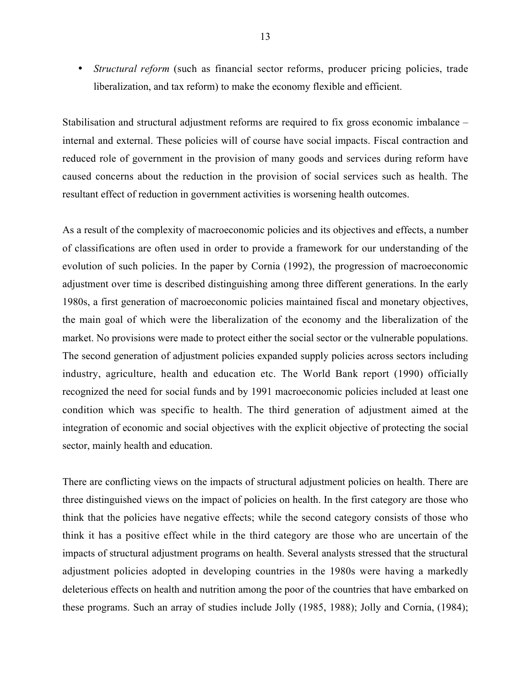• *Structural reform* (such as financial sector reforms, producer pricing policies, trade liberalization, and tax reform) to make the economy flexible and efficient.

Stabilisation and structural adjustment reforms are required to fix gross economic imbalance – internal and external. These policies will of course have social impacts. Fiscal contraction and reduced role of government in the provision of many goods and services during reform have caused concerns about the reduction in the provision of social services such as health. The resultant effect of reduction in government activities is worsening health outcomes.

As a result of the complexity of macroeconomic policies and its objectives and effects, a number of classifications are often used in order to provide a framework for our understanding of the evolution of such policies. In the paper by Cornia (1992), the progression of macroeconomic adjustment over time is described distinguishing among three different generations. In the early 1980s, a first generation of macroeconomic policies maintained fiscal and monetary objectives, the main goal of which were the liberalization of the economy and the liberalization of the market. No provisions were made to protect either the social sector or the vulnerable populations. The second generation of adjustment policies expanded supply policies across sectors including industry, agriculture, health and education etc. The World Bank report (1990) officially recognized the need for social funds and by 1991 macroeconomic policies included at least one condition which was specific to health. The third generation of adjustment aimed at the integration of economic and social objectives with the explicit objective of protecting the social sector, mainly health and education.

There are conflicting views on the impacts of structural adjustment policies on health. There are three distinguished views on the impact of policies on health. In the first category are those who think that the policies have negative effects; while the second category consists of those who think it has a positive effect while in the third category are those who are uncertain of the impacts of structural adjustment programs on health. Several analysts stressed that the structural adjustment policies adopted in developing countries in the 1980s were having a markedly deleterious effects on health and nutrition among the poor of the countries that have embarked on these programs. Such an array of studies include Jolly (1985, 1988); Jolly and Cornia, (1984);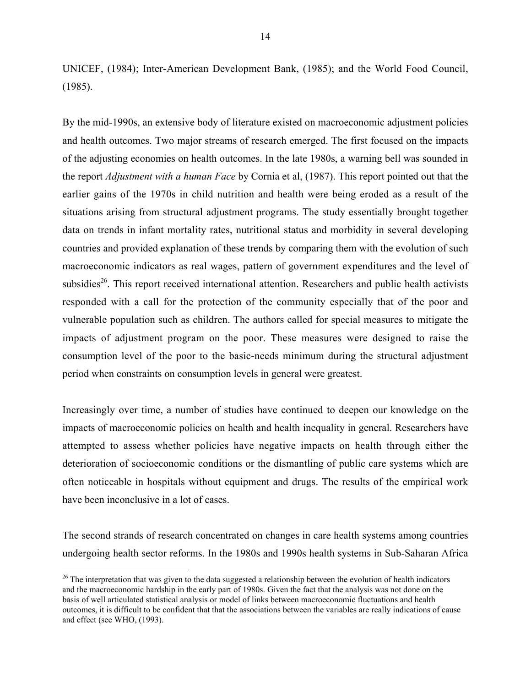UNICEF, (1984); Inter-American Development Bank, (1985); and the World Food Council, (1985).

By the mid-1990s, an extensive body of literature existed on macroeconomic adjustment policies and health outcomes. Two major streams of research emerged. The first focused on the impacts of the adjusting economies on health outcomes. In the late 1980s, a warning bell was sounded in the report *Adjustment with a human Face* by Cornia et al, (1987). This report pointed out that the earlier gains of the 1970s in child nutrition and health were being eroded as a result of the situations arising from structural adjustment programs. The study essentially brought together data on trends in infant mortality rates, nutritional status and morbidity in several developing countries and provided explanation of these trends by comparing them with the evolution of such macroeconomic indicators as real wages, pattern of government expenditures and the level of subsidies<sup>26</sup>. This report received international attention. Researchers and public health activists responded with a call for the protection of the community especially that of the poor and vulnerable population such as children. The authors called for special measures to mitigate the impacts of adjustment program on the poor. These measures were designed to raise the consumption level of the poor to the basic-needs minimum during the structural adjustment period when constraints on consumption levels in general were greatest.

Increasingly over time, a number of studies have continued to deepen our knowledge on the impacts of macroeconomic policies on health and health inequality in general. Researchers have attempted to assess whether policies have negative impacts on health through either the deterioration of socioeconomic conditions or the dismantling of public care systems which are often noticeable in hospitals without equipment and drugs. The results of the empirical work have been inconclusive in a lot of cases.

The second strands of research concentrated on changes in care health systems among countries undergoing health sector reforms. In the 1980s and 1990s health systems in Sub-Saharan Africa

<sup>&</sup>lt;sup>26</sup> The interpretation that was given to the data suggested a relationship between the evolution of health indicators and the macroeconomic hardship in the early part of 1980s. Given the fact that the analysis was not done on the basis of well articulated statistical analysis or model of links between macroeconomic fluctuations and health outcomes, it is difficult to be confident that that the associations between the variables are really indications of cause and effect (see WHO, (1993).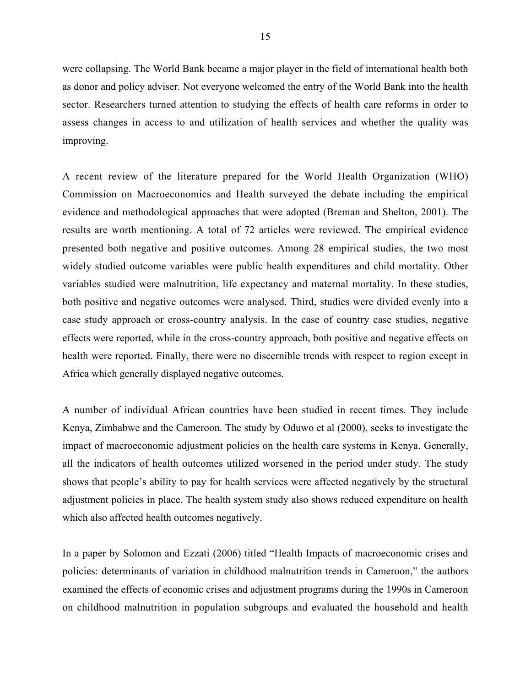were collapsing. The World Bank became a major player in the field of international health both as donor and policy adviser. Not everyone welcomed the entry of the World Bank into the health sector. Researchers turned attention to studying the effects of health care reforms in order to assess changes in access to and utilization of health services and whether the quality was improving.

A recent review of the literature prepared for the World Health Organization (WHO) Commission on Macroeconomics and Health surveyed the debate including the empirical evidence and methodological approaches that were adopted (Breman and Shelton, 2001). The results are worth mentioning. A total of 72 articles were reviewed. The empirical evidence presented both negative and positive outcomes. Among 28 empirical studies, the two most widely studied outcome variables were public health expenditures and child mortality. Other variables studied were malnutrition, life expectancy and maternal mortality. In these studies, both positive and negative outcomes were analysed. Third, studies were divided evenly into a case study approach or cross-country analysis. In the case of country case studies, negative effects were reported, while in the cross-country approach, both positive and negative effects on health were reported. Finally, there were no discernible trends with respect to region except in Africa which generally displayed negative outcomes.

A number of individual African countries have been studied in recent times. They include Kenya, Zimbabwe and the Cameroon. The study by Oduwo et al (2000), seeks to investigate the impact of macroeconomic adjustment policies on the health care systems in Kenya. Generally, all the indicators of health outcomes utilized worsened in the period under study. The study shows that people's ability to pay for health services were affected negatively by the structural adjustment policies in place. The health system study also shows reduced expenditure on health which also affected health outcomes negatively.

In a paper by Solomon and Ezzati (2006) titled "Health Impacts of macroeconomic crises and policies: determinants of variation in childhood malnutrition trends in Cameroon," the authors examined the effects of economic crises and adjustment programs during the 1990s in Cameroon on childhood malnutrition in population subgroups and evaluated the household and health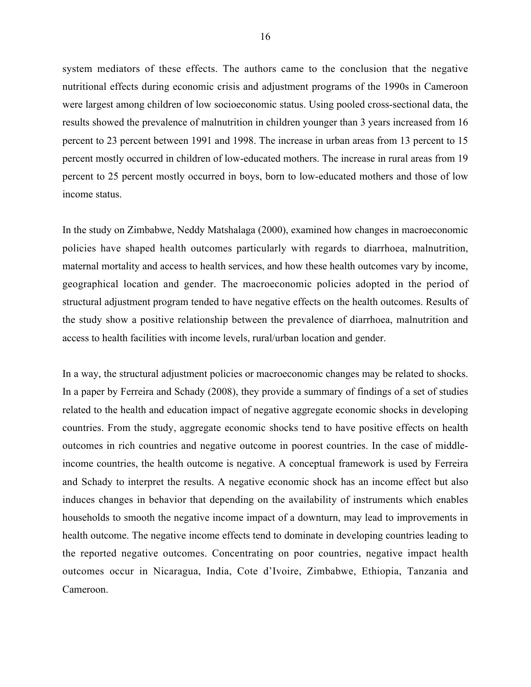system mediators of these effects. The authors came to the conclusion that the negative nutritional effects during economic crisis and adjustment programs of the 1990s in Cameroon were largest among children of low socioeconomic status. Using pooled cross-sectional data, the results showed the prevalence of malnutrition in children younger than 3 years increased from 16 percent to 23 percent between 1991 and 1998. The increase in urban areas from 13 percent to 15 percent mostly occurred in children of low-educated mothers. The increase in rural areas from 19 percent to 25 percent mostly occurred in boys, born to low-educated mothers and those of low income status.

In the study on Zimbabwe, Neddy Matshalaga (2000), examined how changes in macroeconomic policies have shaped health outcomes particularly with regards to diarrhoea, malnutrition, maternal mortality and access to health services, and how these health outcomes vary by income, geographical location and gender. The macroeconomic policies adopted in the period of structural adjustment program tended to have negative effects on the health outcomes. Results of the study show a positive relationship between the prevalence of diarrhoea, malnutrition and access to health facilities with income levels, rural/urban location and gender.

In a way, the structural adjustment policies or macroeconomic changes may be related to shocks. In a paper by Ferreira and Schady (2008), they provide a summary of findings of a set of studies related to the health and education impact of negative aggregate economic shocks in developing countries. From the study, aggregate economic shocks tend to have positive effects on health outcomes in rich countries and negative outcome in poorest countries. In the case of middleincome countries, the health outcome is negative. A conceptual framework is used by Ferreira and Schady to interpret the results. A negative economic shock has an income effect but also induces changes in behavior that depending on the availability of instruments which enables households to smooth the negative income impact of a downturn, may lead to improvements in health outcome. The negative income effects tend to dominate in developing countries leading to the reported negative outcomes. Concentrating on poor countries, negative impact health outcomes occur in Nicaragua, India, Cote d'Ivoire, Zimbabwe, Ethiopia, Tanzania and Cameroon.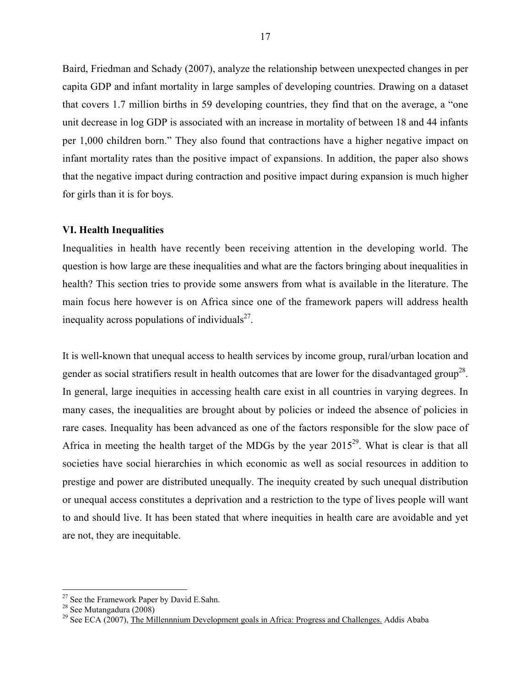Baird, Friedman and Schady (2007), analyze the relationship between unexpected changes in per capita GDP and infant mortality in large samples of developing countries. Drawing on a dataset that covers 1.7 million births in 59 developing countries, they find that on the average, a "one unit decrease in log GDP is associated with an increase in mortality of between 18 and 44 infants per 1,000 children born." They also found that contractions have a higher negative impact on infant mortality rates than the positive impact of expansions. In addition, the paper also shows that the negative impact during contraction and positive impact during expansion is much higher for girls than it is for boys.

#### **VI. Health Inequalities**

Inequalities in health have recently been receiving attention in the developing world. The question is how large are these inequalities and what are the factors bringing about inequalities in health? This section tries to provide some answers from what is available in the literature. The main focus here however is on Africa since one of the framework papers will address health inequality across populations of individuals $^{27}$ .

It is well-known that unequal access to health services by income group, rural/urban location and gender as social stratifiers result in health outcomes that are lower for the disadvantaged group<sup>28</sup>. In general, large inequities in accessing health care exist in all countries in varying degrees. In many cases, the inequalities are brought about by policies or indeed the absence of policies in rare cases. Inequality has been advanced as one of the factors responsible for the slow pace of Africa in meeting the health target of the MDGs by the year  $2015^{29}$ . What is clear is that all societies have social hierarchies in which economic as well as social resources in addition to prestige and power are distributed unequally. The inequity created by such unequal distribution or unequal access constitutes a deprivation and a restriction to the type of lives people will want to and should live. It has been stated that where inequities in health care are avoidable and yet are not, they are inequitable.

<sup>27</sup> <sup>2/</sup> See the Framework Paper by David E.Sahn.<br><sup>28</sup> See Mutangadura (2008)

<sup>&</sup>lt;sup>29</sup> See ECA (2007), The Millennnium Development goals in Africa: Progress and Challenges. Addis Ababa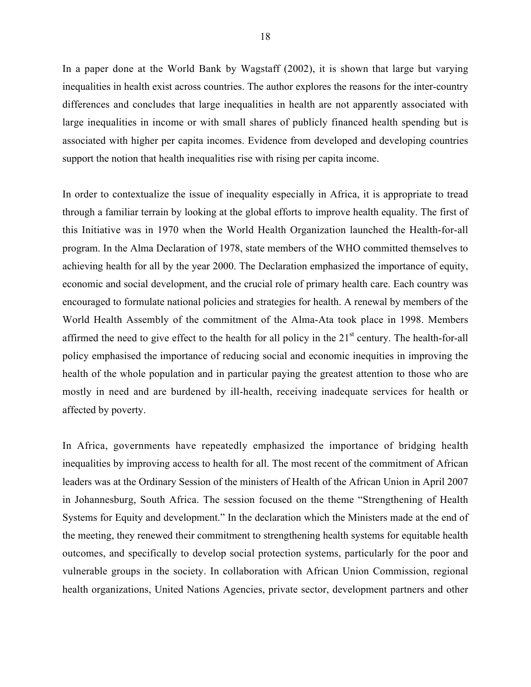In a paper done at the World Bank by Wagstaff (2002), it is shown that large but varying inequalities in health exist across countries. The author explores the reasons for the inter-country differences and concludes that large inequalities in health are not apparently associated with large inequalities in income or with small shares of publicly financed health spending but is associated with higher per capita incomes. Evidence from developed and developing countries support the notion that health inequalities rise with rising per capita income.

In order to contextualize the issue of inequality especially in Africa, it is appropriate to tread through a familiar terrain by looking at the global efforts to improve health equality. The first of this Initiative was in 1970 when the World Health Organization launched the Health-for-all program. In the Alma Declaration of 1978, state members of the WHO committed themselves to achieving health for all by the year 2000. The Declaration emphasized the importance of equity, economic and social development, and the crucial role of primary health care. Each country was encouraged to formulate national policies and strategies for health. A renewal by members of the World Health Assembly of the commitment of the Alma-Ata took place in 1998. Members affirmed the need to give effect to the health for all policy in the  $21<sup>st</sup>$  century. The health-for-all policy emphasised the importance of reducing social and economic inequities in improving the health of the whole population and in particular paying the greatest attention to those who are mostly in need and are burdened by ill-health, receiving inadequate services for health or affected by poverty.

In Africa, governments have repeatedly emphasized the importance of bridging health inequalities by improving access to health for all. The most recent of the commitment of African leaders was at the Ordinary Session of the ministers of Health of the African Union in April 2007 in Johannesburg, South Africa. The session focused on the theme "Strengthening of Health Systems for Equity and development." In the declaration which the Ministers made at the end of the meeting, they renewed their commitment to strengthening health systems for equitable health outcomes, and specifically to develop social protection systems, particularly for the poor and vulnerable groups in the society. In collaboration with African Union Commission, regional health organizations, United Nations Agencies, private sector, development partners and other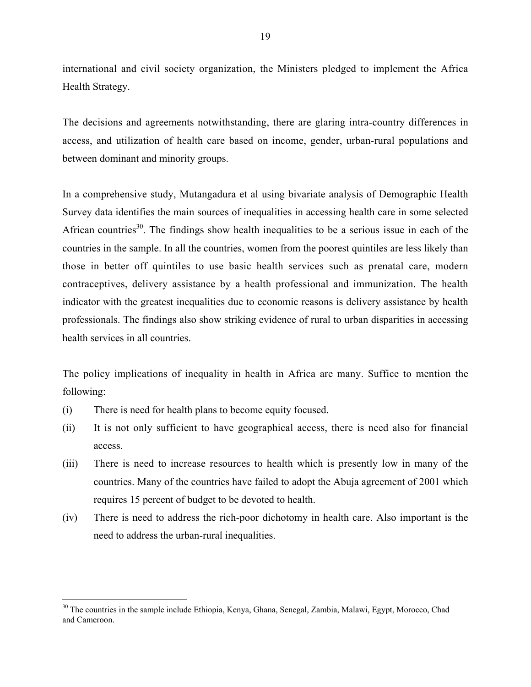international and civil society organization, the Ministers pledged to implement the Africa Health Strategy.

The decisions and agreements notwithstanding, there are glaring intra-country differences in access, and utilization of health care based on income, gender, urban-rural populations and between dominant and minority groups.

In a comprehensive study, Mutangadura et al using bivariate analysis of Demographic Health Survey data identifies the main sources of inequalities in accessing health care in some selected African countries<sup>30</sup>. The findings show health inequalities to be a serious issue in each of the countries in the sample. In all the countries, women from the poorest quintiles are less likely than those in better off quintiles to use basic health services such as prenatal care, modern contraceptives, delivery assistance by a health professional and immunization. The health indicator with the greatest inequalities due to economic reasons is delivery assistance by health professionals. The findings also show striking evidence of rural to urban disparities in accessing health services in all countries.

The policy implications of inequality in health in Africa are many. Suffice to mention the following:

- (i) There is need for health plans to become equity focused.
- (ii) It is not only sufficient to have geographical access, there is need also for financial access.
- (iii) There is need to increase resources to health which is presently low in many of the countries. Many of the countries have failed to adopt the Abuja agreement of 2001 which requires 15 percent of budget to be devoted to health.
- (iv) There is need to address the rich-poor dichotomy in health care. Also important is the need to address the urban-rural inequalities.

<sup>&</sup>lt;sup>30</sup> The countries in the sample include Ethiopia, Kenya, Ghana, Senegal, Zambia, Malawi, Egypt, Morocco, Chad and Cameroon.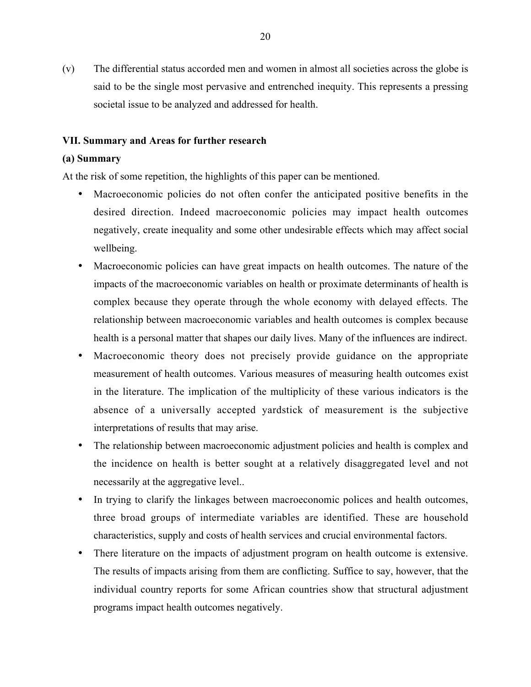(v) The differential status accorded men and women in almost all societies across the globe is said to be the single most pervasive and entrenched inequity. This represents a pressing societal issue to be analyzed and addressed for health.

## **VII. Summary and Areas for further research**

## **(a) Summary**

At the risk of some repetition, the highlights of this paper can be mentioned.

- Macroeconomic policies do not often confer the anticipated positive benefits in the desired direction. Indeed macroeconomic policies may impact health outcomes negatively, create inequality and some other undesirable effects which may affect social wellbeing.
- Macroeconomic policies can have great impacts on health outcomes. The nature of the impacts of the macroeconomic variables on health or proximate determinants of health is complex because they operate through the whole economy with delayed effects. The relationship between macroeconomic variables and health outcomes is complex because health is a personal matter that shapes our daily lives. Many of the influences are indirect.
- Macroeconomic theory does not precisely provide guidance on the appropriate measurement of health outcomes. Various measures of measuring health outcomes exist in the literature. The implication of the multiplicity of these various indicators is the absence of a universally accepted yardstick of measurement is the subjective interpretations of results that may arise.
- The relationship between macroeconomic adjustment policies and health is complex and the incidence on health is better sought at a relatively disaggregated level and not necessarily at the aggregative level..
- In trying to clarify the linkages between macroeconomic polices and health outcomes, three broad groups of intermediate variables are identified. These are household characteristics, supply and costs of health services and crucial environmental factors.
- There literature on the impacts of adjustment program on health outcome is extensive. The results of impacts arising from them are conflicting. Suffice to say, however, that the individual country reports for some African countries show that structural adjustment programs impact health outcomes negatively.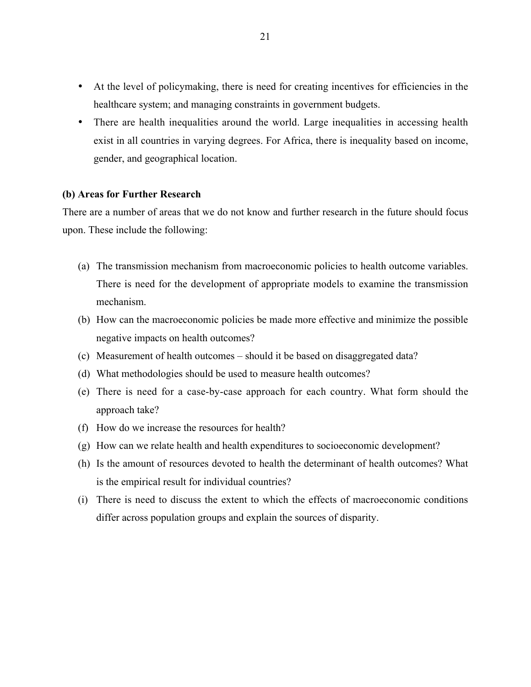- At the level of policymaking, there is need for creating incentives for efficiencies in the healthcare system; and managing constraints in government budgets.
- There are health inequalities around the world. Large inequalities in accessing health exist in all countries in varying degrees. For Africa, there is inequality based on income, gender, and geographical location.

#### **(b) Areas for Further Research**

There are a number of areas that we do not know and further research in the future should focus upon. These include the following:

- (a) The transmission mechanism from macroeconomic policies to health outcome variables. There is need for the development of appropriate models to examine the transmission mechanism.
- (b) How can the macroeconomic policies be made more effective and minimize the possible negative impacts on health outcomes?
- (c) Measurement of health outcomes should it be based on disaggregated data?
- (d) What methodologies should be used to measure health outcomes?
- (e) There is need for a case-by-case approach for each country. What form should the approach take?
- (f) How do we increase the resources for health?
- (g) How can we relate health and health expenditures to socioeconomic development?
- (h) Is the amount of resources devoted to health the determinant of health outcomes? What is the empirical result for individual countries?
- (i) There is need to discuss the extent to which the effects of macroeconomic conditions differ across population groups and explain the sources of disparity.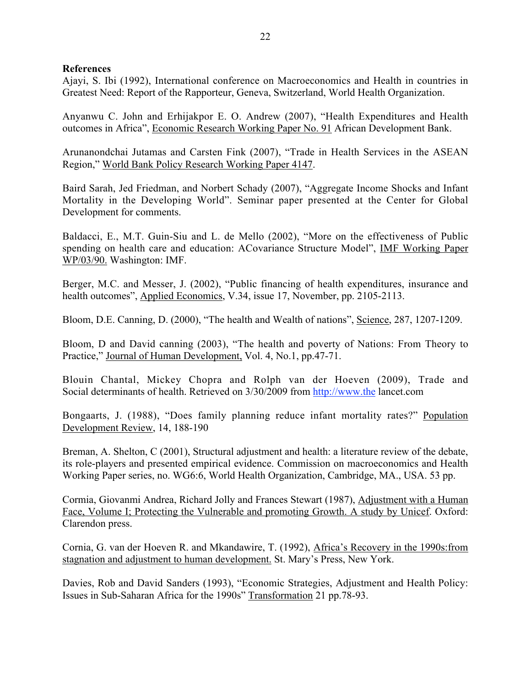## **References**

Ajayi, S. Ibi (1992), International conference on Macroeconomics and Health in countries in Greatest Need: Report of the Rapporteur, Geneva, Switzerland, World Health Organization.

Anyanwu C. John and Erhijakpor E. O. Andrew (2007), "Health Expenditures and Health outcomes in Africa", Economic Research Working Paper No. 91 African Development Bank.

Arunanondchai Jutamas and Carsten Fink (2007), "Trade in Health Services in the ASEAN Region," World Bank Policy Research Working Paper 4147.

Baird Sarah, Jed Friedman, and Norbert Schady (2007), "Aggregate Income Shocks and Infant Mortality in the Developing World". Seminar paper presented at the Center for Global Development for comments.

Baldacci, E., M.T. Guin-Siu and L. de Mello (2002), "More on the effectiveness of Public spending on health care and education: ACovariance Structure Model", IMF Working Paper WP/03/90. Washington: IMF.

Berger, M.C. and Messer, J. (2002), "Public financing of health expenditures, insurance and health outcomes", Applied Economics, V.34, issue 17, November, pp. 2105-2113.

Bloom, D.E. Canning, D. (2000), "The health and Wealth of nations", Science, 287, 1207-1209.

Bloom, D and David canning (2003), "The health and poverty of Nations: From Theory to Practice," Journal of Human Development, Vol. 4, No.1, pp.47-71.

Blouin Chantal, Mickey Chopra and Rolph van der Hoeven (2009), Trade and Social determinants of health. Retrieved on 3/30/2009 from http://www.the lancet.com

Bongaarts, J. (1988), "Does family planning reduce infant mortality rates?" Population Development Review, 14, 188-190

Breman, A. Shelton, C (2001), Structural adjustment and health: a literature review of the debate, its role-players and presented empirical evidence. Commission on macroeconomics and Health Working Paper series, no. WG6:6, World Health Organization, Cambridge, MA., USA. 53 pp.

Cormia, Giovanmi Andrea, Richard Jolly and Frances Stewart (1987), Adjustment with a Human Face, Volume I; Protecting the Vulnerable and promoting Growth. A study by Unicef. Oxford: Clarendon press.

Cornia, G. van der Hoeven R. and Mkandawire, T. (1992), Africa's Recovery in the 1990s:from stagnation and adjustment to human development. St. Mary's Press, New York.

Davies, Rob and David Sanders (1993), "Economic Strategies, Adjustment and Health Policy: Issues in Sub-Saharan Africa for the 1990s" Transformation 21 pp.78-93.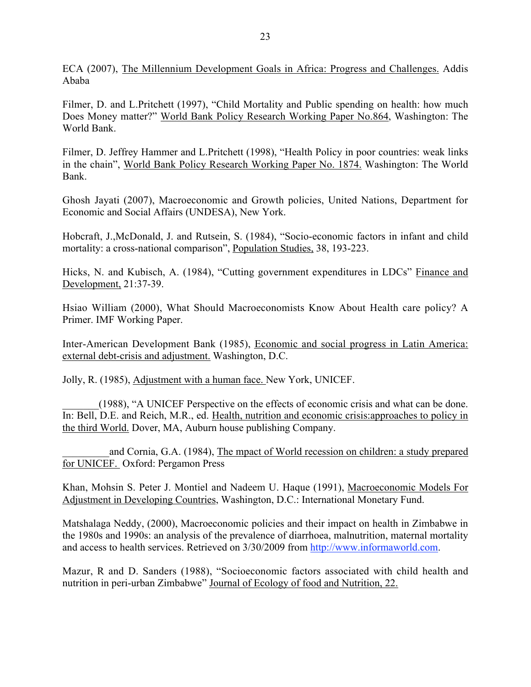ECA (2007), The Millennium Development Goals in Africa: Progress and Challenges. Addis Ababa

Filmer, D. and L.Pritchett (1997), "Child Mortality and Public spending on health: how much Does Money matter?" World Bank Policy Research Working Paper No.864, Washington: The World Bank.

Filmer, D. Jeffrey Hammer and L.Pritchett (1998), "Health Policy in poor countries: weak links in the chain", World Bank Policy Research Working Paper No. 1874. Washington: The World Bank.

Ghosh Jayati (2007), Macroeconomic and Growth policies, United Nations, Department for Economic and Social Affairs (UNDESA), New York.

Hobcraft, J.,McDonald, J. and Rutsein, S. (1984), "Socio-economic factors in infant and child mortality: a cross-national comparison", Population Studies, 38, 193-223.

Hicks, N. and Kubisch, A. (1984), "Cutting government expenditures in LDCs" Finance and Development, 21:37-39.

Hsiao William (2000), What Should Macroeconomists Know About Health care policy? A Primer. IMF Working Paper.

Inter-American Development Bank (1985), Economic and social progress in Latin America: external debt-crisis and adjustment. Washington, D.C.

Jolly, R. (1985), Adjustment with a human face. New York, UNICEF.

\_\_\_\_\_\_\_(1988), "A UNICEF Perspective on the effects of economic crisis and what can be done. In: Bell, D.E. and Reich, M.R., ed. Health, nutrition and economic crisis:approaches to policy in the third World. Dover, MA, Auburn house publishing Company.

and Cornia, G.A. (1984), The mpact of World recession on children: a study prepared for UNICEF. Oxford: Pergamon Press

Khan, Mohsin S. Peter J. Montiel and Nadeem U. Haque (1991), Macroeconomic Models For Adjustment in Developing Countries, Washington, D.C.: International Monetary Fund.

Matshalaga Neddy, (2000), Macroeconomic policies and their impact on health in Zimbabwe in the 1980s and 1990s: an analysis of the prevalence of diarrhoea, malnutrition, maternal mortality and access to health services. Retrieved on 3/30/2009 from http://www.informaworld.com.

Mazur, R and D. Sanders (1988), "Socioeconomic factors associated with child health and nutrition in peri-urban Zimbabwe" Journal of Ecology of food and Nutrition, 22.